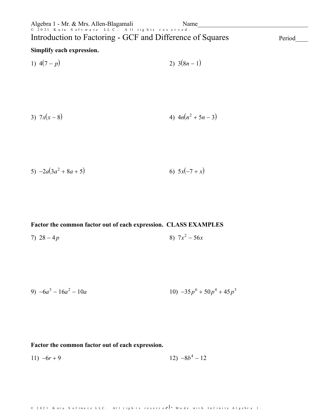1) 
$$
4(7-p)
$$
 2)  $3(8n-1)$ 

3) 
$$
7x(x-8)
$$
 4)  $4n(n^2+5n-3)$ 

$$
5) -2a(3a^2 + 8a + 5) \t\t\t 6) 5x(-7 + x)
$$

#### **Factor the common factor out of each expression. CLASS EXAMPLES**

7) 
$$
28-4p
$$
 8)  $7x^2-56x$ 

9) 
$$
-6a^3 - 16a^2 - 10a
$$
  
10)  $-35p^6 + 50p^4 + 45p^3$ 

#### **Factor the common factor out of each expression.**

$$
11) -6r + 9 \qquad \qquad 12) -8b^4 - 12
$$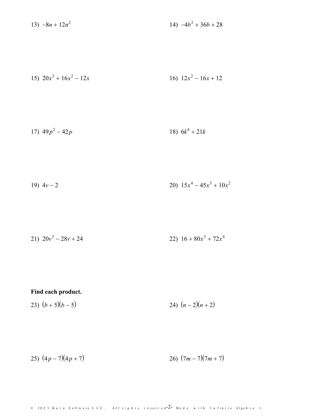13)  $-8n + 12n^2$ 14)  $-4b^2 + 36b + 28$ 

15) 
$$
20x^3 + 16x^2 - 12x
$$
  
16)  $12x^2 - 16x + 12$ 

$$
17) \ 49p^2 - 42p \qquad \qquad 18) \ 6k^4 + 21k
$$

$$
19) \ 4v - 2 \qquad \qquad 20) \ 15x^4 - 45x^3 + 10x^2
$$

$$
21) \ 20v^3 - 28v + 24 \qquad \qquad 22) \ 16 + 80x^3 + 72x^4
$$

#### Find each product.

$$
23)\ (b+5)(b-5) \qquad \qquad 24)\ (n-2)(n+2)
$$

$$
25)\,\left(4p-7\right)\left(4p+7\right)\qquad \qquad 26)\,\left(7m-7\right)\left(7m+7\right)
$$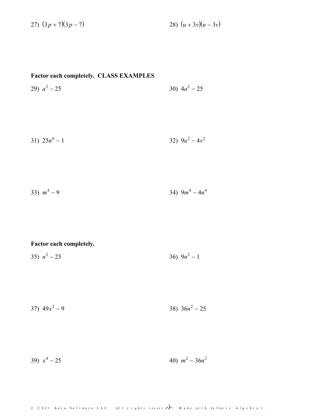27)  $(3p + 7)(3p - 7)$ 28)  $(u + 3v)(u - 3v)$ 

## Factor each completely. CLASS EXAMPLES

30)  $4a^2 - 25$ 29)  $a^2 - 25$ 

$$
31) \ 25n^6 - 1 \qquad \qquad 32) \ 9u^2 - 4v^2
$$

33) 
$$
m^4 - 9
$$
 34)  $9m^4 - 4n^4$ 

## Factor each completely.

35)  $n^2 - 25$ 36)  $9n^2 - 1$ 

$$
37) \ 49x^2 - 9 \qquad \qquad 38) \ 36n^2 - 25
$$

39)  $x^4 - 25$ 40)  $m^2 - 36n^2$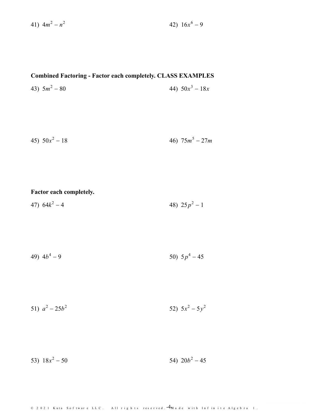41)  $4m^2 - n^2$ 

2 42)  $16x^6 - 9$ 

### **Combined Factoring - Factor each completely. CLASS EXAMPLES**

43) 5*m*  $2^2 - 80$  44)  $50x^3 - 18x$ 

$$
46)\ \ 50x^2 - 18\qquad \qquad 46)\ \ 75m^5 - 27m
$$

## **Factor each completely.**

47)  $64k^2 - 4$  $2^2-4$  48)  $25p^2-1$ 

49) 
$$
4b^4 - 9
$$
 50)  $5p^4 - 45$ 

51)  $a^2 - 25b^2$  $52)$   $5x^2 - 5y^2$ 2

53)  $18x^2 - 50$  $2^2 - 50$  54)  $20b^2 - 45$